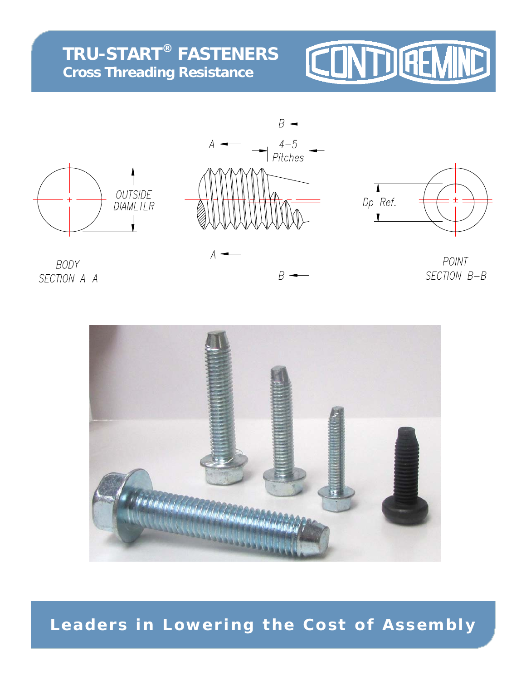## **TRU-START® FASTENERS Cross Threading Resistance**

# CONTUGEM







POINT SECTION B-B

BODY SECTION A-A



## **Leaders in Lowering the Cost of Assembly**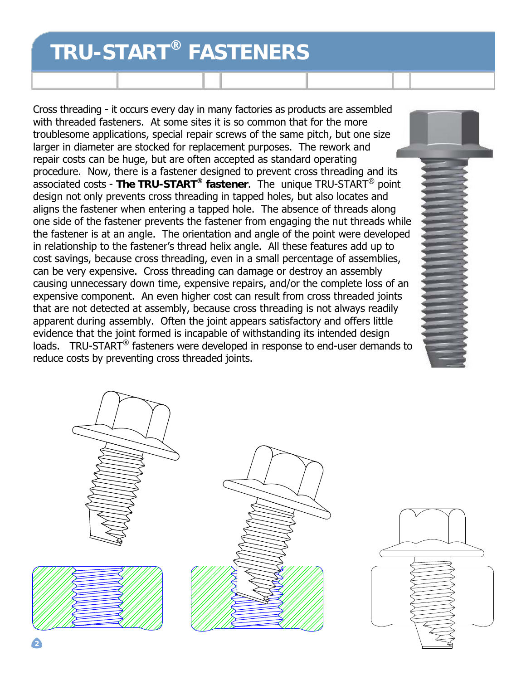## **TRU-START® FASTENERS**

Cross threading - it occurs every day in many factories as products are assembled with threaded fasteners. At some sites it is so common that for the more troublesome applications, special repair screws of the same pitch, but one size larger in diameter are stocked for replacement purposes. The rework and repair costs can be huge, but are often accepted as standard operating procedure. Now, there is a fastener designed to prevent cross threading and its associated costs - **The TRU-START® fastener**. The unique TRU-START® point design not only prevents cross threading in tapped holes, but also locates and aligns the fastener when entering a tapped hole. The absence of threads along one side of the fastener prevents the fastener from engaging the nut threads while the fastener is at an angle. The orientation and angle of the point were developed in relationship to the fastener's thread helix angle. All these features add up to cost savings, because cross threading, even in a small percentage of assemblies, can be very expensive. Cross threading can damage or destroy an assembly causing unnecessary down time, expensive repairs, and/or the complete loss of an expensive component. An even higher cost can result from cross threaded joints that are not detected at assembly, because cross threading is not always readily apparent during assembly. Often the joint appears satisfactory and offers little evidence that the joint formed is incapable of withstanding its intended design loads. TRU-START® fasteners were developed in response to end-user demands to reduce costs by preventing cross threaded joints.

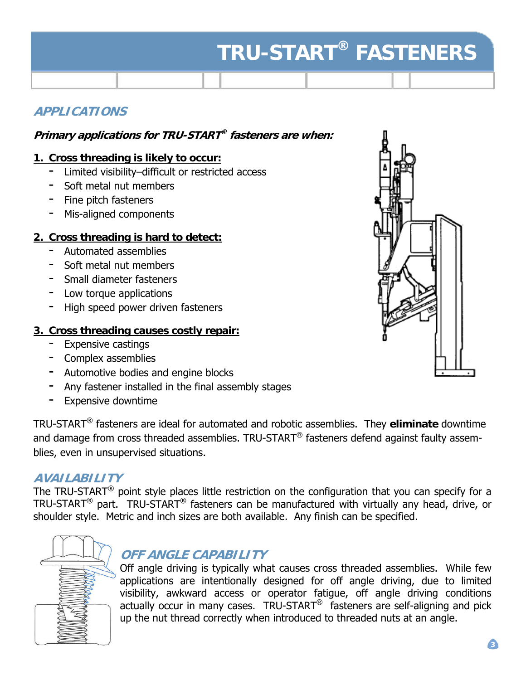# **TRU-START® FASTENERS**

## **APPLICATIONS**

## **Primary applications for TRU-START® fasteners are when:**

## **1. Cross threading is likely to occur:**

- Limited visibility–difficult or restricted access
- Soft metal nut members
- Fine pitch fasteners
- Mis-aligned components

## **2. Cross threading is hard to detect:**

- Automated assemblies
- Soft metal nut members
- Small diameter fasteners
- Low torque applications
- High speed power driven fasteners

## **3. Cross threading causes costly repair:**

- Expensive castings
- Complex assemblies
- Automotive bodies and engine blocks
- Any fastener installed in the final assembly stages
- Expensive downtime

TRU-START® fasteners are ideal for automated and robotic assemblies. They **eliminate** downtime and damage from cross threaded assemblies. TRU-START<sup>®</sup> fasteners defend against faulty assemblies, even in unsupervised situations.

## **AVAILABILITY**

The TRU-START<sup>®</sup> point style places little restriction on the configuration that you can specify for a TRU-START® part. TRU-START® fasteners can be manufactured with virtually any head, drive, or shoulder style. Metric and inch sizes are both available. Any finish can be specified.

## **OFF ANGLE CAPABILITY**

Off angle driving is typically what causes cross threaded assemblies. While few applications are intentionally designed for off angle driving, due to limited visibility, awkward access or operator fatigue, off angle driving conditions actually occur in many cases. TRU-START® fasteners are self-aligning and pick up the nut thread correctly when introduced to threaded nuts at an angle.